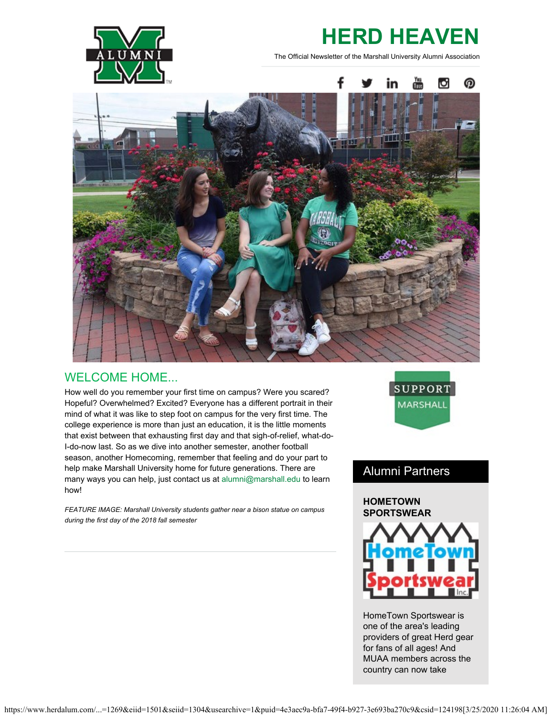

# **HERD HEAVEN**

The Official Newsletter of the Marshall University Alumni Association



## WELCOME HOME...

How well do you remember your first time on campus? Were you scared? Hopeful? Overwhelmed? Excited? Everyone has a different portrait in their mind of what it was like to step foot on campus for the very first time. The college experience is more than just an education, it is the little moments that exist between that exhausting first day and that sigh-of-relief, what-do-I-do-now last. So as we dive into another semester, another football season, another Homecoming, remember that feeling and do your part to help make Marshall University home for future generations. There are many ways you can help, just contact us at [alumni@marshall.edu](mailto:alumni@marshall.edu) to learn how!

*FEATURE IMAGE: Marshall University students gather near a bison statue on campus during the first day of the 2018 fall semester*



## Alumni Partners

### **HOMETOWN SPORTSWEAR**



HomeTown Sportswear is one of the area's leading providers of great Herd gear for fans of all ages! And MUAA members across the country can now take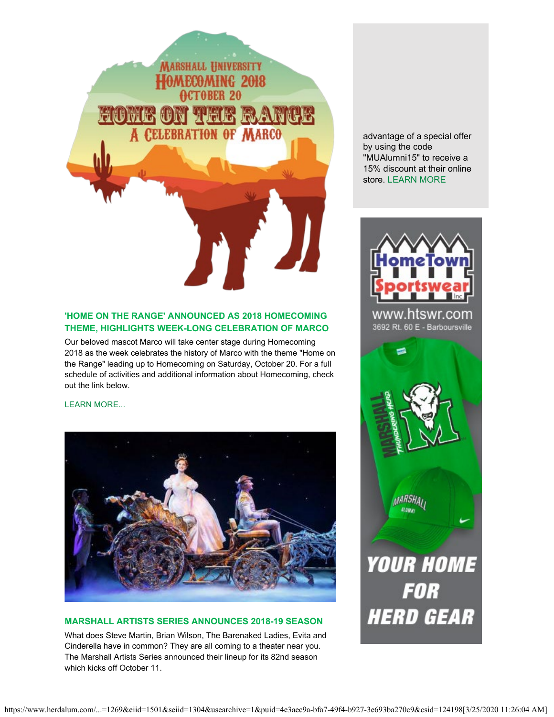

## **'HOME ON THE RANGE' ANNOUNCED AS 2018 HOMECOMING THEME, HIGHLIGHTS WEEK-LONG CELEBRATION OF MARCO**

Our beloved mascot Marco will take center stage during Homecoming 2018 as the week celebrates the history of Marco with the theme "Home on the Range" leading up to Homecoming on Saturday, October 20. For a full schedule of activities and additional information about Homecoming, check out the link below.

### [LEARN MORE...](https://www.herdalum.com/s/1269/index.aspx?sid=1269&gid=1&pgid=949)



### **MARSHALL ARTISTS SERIES ANNOUNCES 2018-19 SEASON**

What does Steve Martin, Brian Wilson, The Barenaked Ladies, Evita and Cinderella have in common? They are all coming to a theater near you. The Marshall Artists Series announced their lineup for its 82nd season which kicks off October 11.

advantage of a special offer by using the code "MUAlumni15" to receive a 15% discount at their online store. [LEARN MORE](http://www.htswr.com/)



www.htswr.com 3692 Rt. 60 E - Barboursville

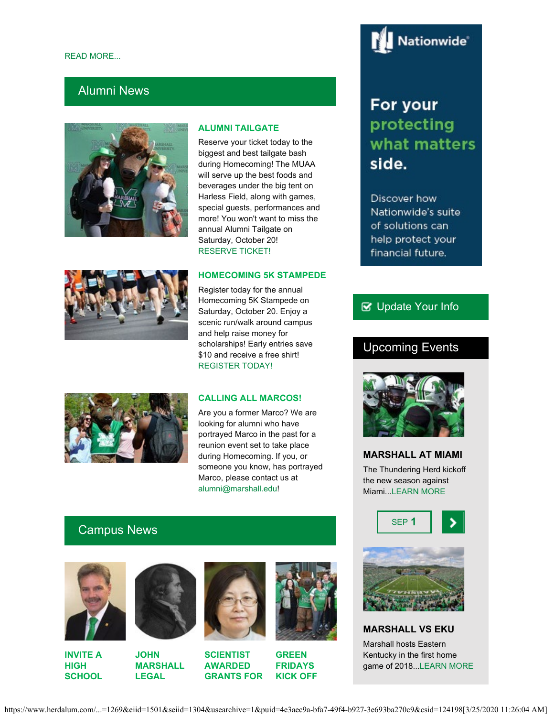## Alumni News



### **ALUMNI TAILGATE**

Reserve your ticket today to the biggest and best tailgate bash during Homecoming! The MUAA will serve up the best foods and beverages under the big tent on Harless Field, along with games, special guests, performances and more! You won't want to miss the annual Alumni Tailgate on Saturday, October 20! [RESERVE TICKET!](https://securelb.imodules.com/s/1269/index.aspx?sid=1269&gid=1&pgid=1089)

### **HOMECOMING 5K STAMPEDE**

Register today for the annual Homecoming 5K Stampede on Saturday, October 20. Enjoy a scenic run/walk around campus and help raise money for scholarships! Early entries save \$10 and receive a free shirt! [REGISTER TODAY!](http://www.tristateracer.com/event.php?RaceID=10147)



### **CALLING ALL MARCOS!**

Are you a former Marco? We are looking for alumni who have portrayed Marco in the past for a reunion event set to take place during Homecoming. If you, or someone you know, has portrayed Marco, please contact us at [alumni@marshall.edu](mailto:alumni@marshall.edu)!

## Campus News



**INVITE A HIGH SCHOOL**







**SCIENTIST AWARDED GRANTS FOR**



**GREEN FRIDAYS KICK OFF**



## For your protecting what matters side.

Discover how Nationwide's suite of solutions can help protect your financial future.

## **B** [Update Your Info](http://www.herdalum.com/s/1269/index.aspx?sid=1269&gid=1&pgid=6&cid=41#/Search/Simple)

## Upcoming Events



## **MARSHALL AT MIAMI**

The Thundering Herd kickoff the new season against Miami...[LEARN MORE](http://www.herdzone.com/sports/m-footbl/mars-m-footbl-body.html)





**MARSHALL VS EKU** Marshall hosts Eastern Kentucky in the first home game of 2018..[.LEARN MORE](http://www.herdzone.com/sports/m-footbl/mars-m-footbl-body.html)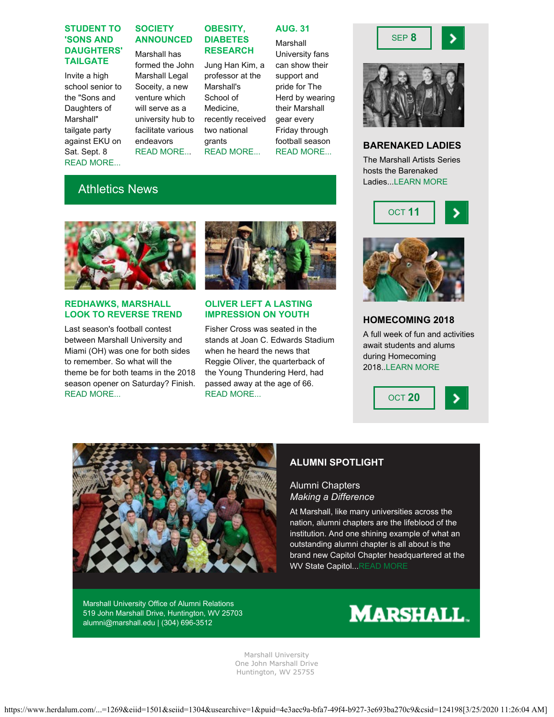### **STUDENT TO 'SONS AND DAUGHTERS' TAILGATE**

Invite a high school senior to the "Sons and Daughters of Marshall" tailgate party against EKU on Sat. Sept. 8 [READ MORE...](https://www.marshall.edu/wamnewsletter/2018/08/18313/)

## **SOCIETY ANNOUNCED**

Marshall has formed the John Marshall Legal Soceity, a new venture which will serve as a university hub to facilitate various endeavors [READ MORE..](https://www.marshall.edu/ucomm/2018/08/27/marshall-university-announces-john-marshall-legal-society/).

**OBESITY, DIABETES**

**RESEARCH** Jung Han Kim, a professor at the Marshall's School of Medicine, recently received two national grants

[READ MORE...](https://www.marshall.edu/ucomm/2018/08/27/marshall-university-scientist-awarded-grants-to-further-obesity-diabetes-research/)

**OLIVER LEFT A LASTING IMPRESSION ON YOUTH** Fisher Cross was seated in the stands at Joan C. Edwards Stadium when he heard the news that Reggie Oliver, the quarterback of the Young Thundering Herd, had passed away at the age of 66.

[READ MORE...](https://herdzone.com/news/2018/8/16/football-mcgill-oliver-left-lasting-impression-on-younger-generation.aspx)

## **AUG. 31**

Marshall University fans can show their support and pride for The Herd by wearing their Marshall gear every Friday through football season



## Athletics News

**REDHAWKS, MARSHALL LOOK TO REVERSE TREND** Last season's football contest between Marshall University and Miami (OH) was one for both sides to remember. So what will the theme be for both teams in the 2018 season opener on Saturday? Finish.

[READ MORE...](http://www.herald-dispatch.com/sports/marshall_sports/redhawks-herd-look-to-reverse-trend/article_88a31958-39a4-5f21-921c-7c002a3fd3e4.html)



[READ MORE...](https://www.marshall.edu/wamnewsletter/2018/08/green-fridays-kick-off-aug-31/)





SEP **8**



### **HOMECOMING 2018**

A full week of fun and activities await students and alums during Homecoming 2018.[.LEARN MORE](https://www.herdalum.com/s/1269/index.aspx?sid=1269&gid=1&pgid=949)







## **ALUMNI SPOTLIGHT**

## Alumni Chapters *Making a Difference*

At Marshall, like many universities across the nation, alumni chapters are the lifeblood of the institution. And one shining example of what an outstanding alumni chapter is all about is the brand new Capitol Chapter headquartered at the WV State Capitol..[.READ MORE](https://www.herdalum.com/s/1269/index.aspx?sid=1269&gid=1&pgid=1070)

Marshall University Office of Alumni Relations 519 John Marshall Drive, Huntington, WV 25703 [alumni@marshall.edu](mailto:alumni@marshall.edu) | [\(304\) 696-3512](tel:3046963512)



Marshall University One John Marshall Drive Huntington, WV 25755